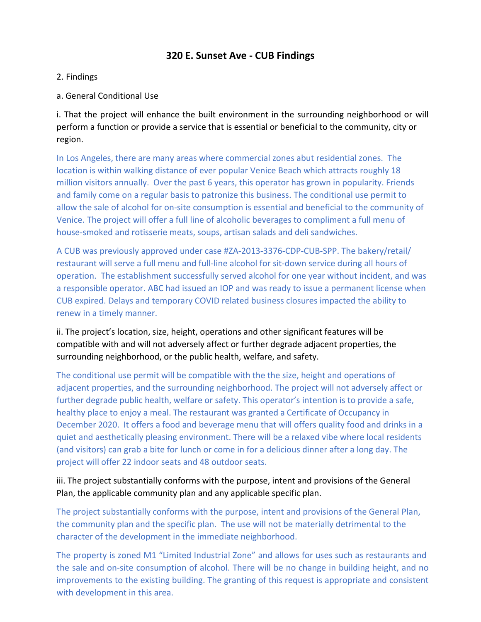# **320 E. Sunset Ave - CUB Findings**

- 2. Findings
- a. General Conditional Use

i. That the project will enhance the built environment in the surrounding neighborhood or will perform a function or provide a service that is essential or beneficial to the community, city or region.

In Los Angeles, there are many areas where commercial zones abut residential zones. The location is within walking distance of ever popular Venice Beach which attracts roughly 18 million visitors annually. Over the past 6 years, this operator has grown in popularity. Friends and family come on a regular basis to patronize this business. The conditional use permit to allow the sale of alcohol for on-site consumption is essential and beneficial to the community of Venice. The project will offer a full line of alcoholic beverages to compliment a full menu of house-smoked and rotisserie meats, soups, artisan salads and deli sandwiches.

A CUB was previously approved under case #ZA-2013-3376-CDP-CUB-SPP. The bakery/retail/ restaurant will serve a full menu and full-line alcohol for sit-down service during all hours of operation. The establishment successfully served alcohol for one year without incident, and was a responsible operator. ABC had issued an IOP and was ready to issue a permanent license when CUB expired. Delays and temporary COVID related business closures impacted the ability to renew in a timely manner.

ii. The project's location, size, height, operations and other significant features will be compatible with and will not adversely affect or further degrade adjacent properties, the surrounding neighborhood, or the public health, welfare, and safety.

The conditional use permit will be compatible with the the size, height and operations of adjacent properties, and the surrounding neighborhood. The project will not adversely affect or further degrade public health, welfare or safety. This operator's intention is to provide a safe, healthy place to enjoy a meal. The restaurant was granted a Certificate of Occupancy in December 2020. It offers a food and beverage menu that will offers quality food and drinks in a quiet and aesthetically pleasing environment. There will be a relaxed vibe where local residents (and visitors) can grab a bite for lunch or come in for a delicious dinner after a long day. The project will offer 22 indoor seats and 48 outdoor seats.

iii. The project substantially conforms with the purpose, intent and provisions of the General Plan, the applicable community plan and any applicable specific plan.

The project substantially conforms with the purpose, intent and provisions of the General Plan, the community plan and the specific plan. The use will not be materially detrimental to the character of the development in the immediate neighborhood.

The property is zoned M1 "Limited Industrial Zone" and allows for uses such as restaurants and the sale and on-site consumption of alcohol. There will be no change in building height, and no improvements to the existing building. The granting of this request is appropriate and consistent with development in this area.